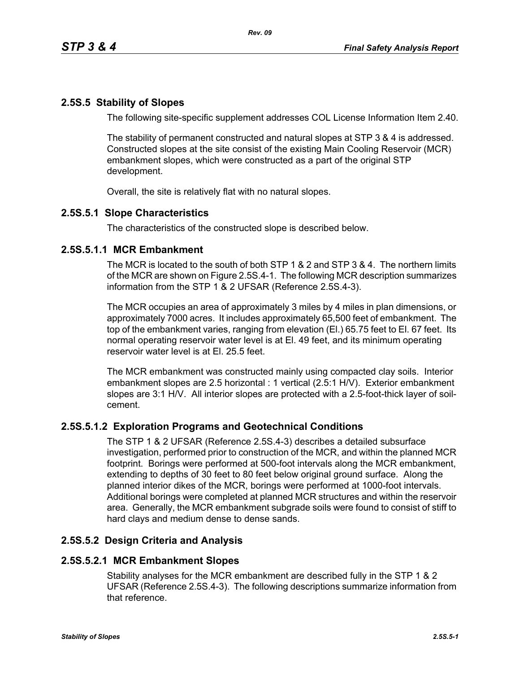# **2.5S.5 Stability of Slopes**

The following site-specific supplement addresses COL License Information Item 2.40.

The stability of permanent constructed and natural slopes at STP 3 & 4 is addressed. Constructed slopes at the site consist of the existing Main Cooling Reservoir (MCR) embankment slopes, which were constructed as a part of the original STP development.

Overall, the site is relatively flat with no natural slopes.

## **2.5S.5.1 Slope Characteristics**

The characteristics of the constructed slope is described below.

## **2.5S.5.1.1 MCR Embankment**

The MCR is located to the south of both STP 1 & 2 and STP 3 & 4. The northern limits of the MCR are shown on Figure 2.5S.4-1. The following MCR description summarizes information from the STP 1 & 2 UFSAR (Reference 2.5S.4-3).

The MCR occupies an area of approximately 3 miles by 4 miles in plan dimensions, or approximately 7000 acres. It includes approximately 65,500 feet of embankment. The top of the embankment varies, ranging from elevation (El.) 65.75 feet to El. 67 feet. Its normal operating reservoir water level is at El. 49 feet, and its minimum operating reservoir water level is at El. 25.5 feet.

The MCR embankment was constructed mainly using compacted clay soils. Interior embankment slopes are 2.5 horizontal : 1 vertical (2.5:1 H/V). Exterior embankment slopes are 3:1 H/V. All interior slopes are protected with a 2.5-foot-thick layer of soilcement.

# **2.5S.5.1.2 Exploration Programs and Geotechnical Conditions**

The STP 1 & 2 UFSAR (Reference 2.5S.4-3) describes a detailed subsurface investigation, performed prior to construction of the MCR, and within the planned MCR footprint. Borings were performed at 500-foot intervals along the MCR embankment, extending to depths of 30 feet to 80 feet below original ground surface. Along the planned interior dikes of the MCR, borings were performed at 1000-foot intervals. Additional borings were completed at planned MCR structures and within the reservoir area. Generally, the MCR embankment subgrade soils were found to consist of stiff to hard clays and medium dense to dense sands.

# **2.5S.5.2 Design Criteria and Analysis**

#### **2.5S.5.2.1 MCR Embankment Slopes**

Stability analyses for the MCR embankment are described fully in the STP 1 & 2 UFSAR (Reference 2.5S.4-3). The following descriptions summarize information from that reference.